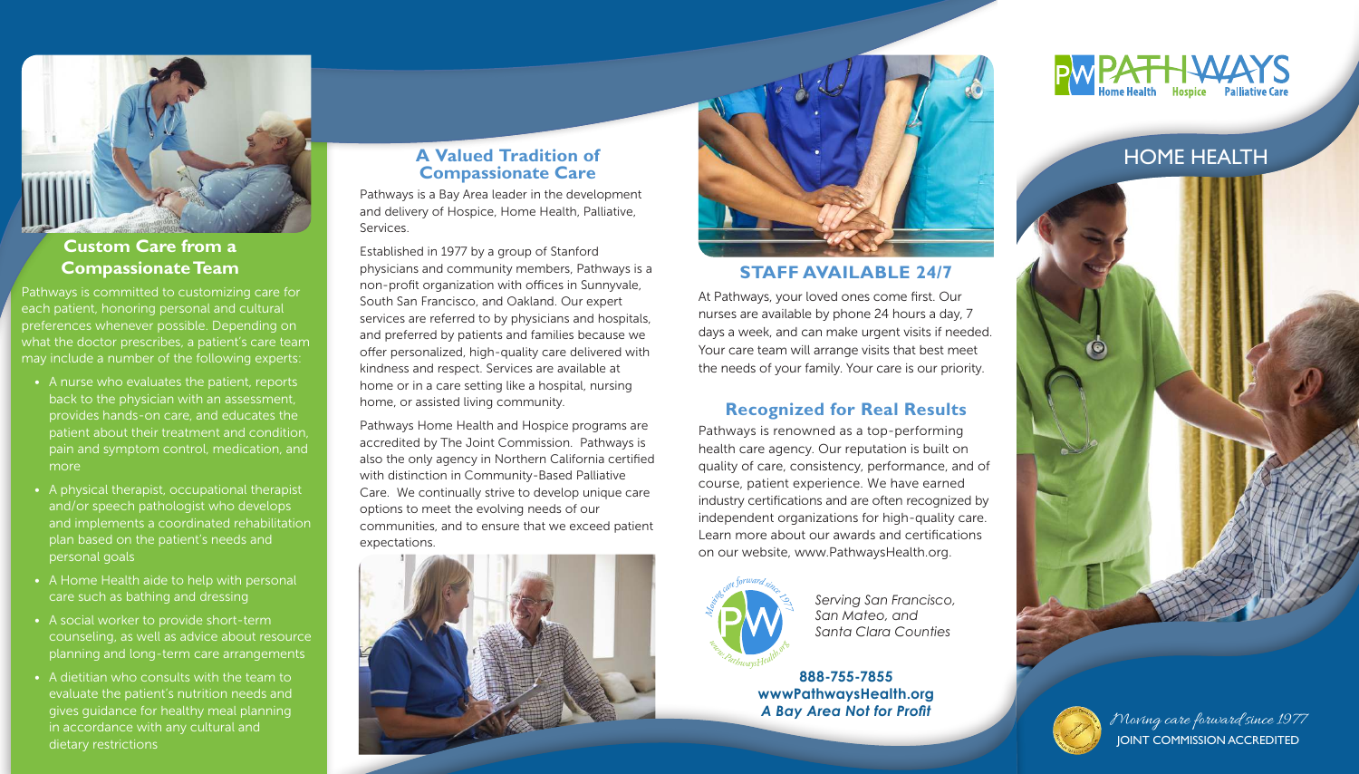Pathways is committed to customizing care for each patient, honoring personal and cultural preferences whenever possible. Depending on what the doctor prescribes, a patient's care team may include a number of the following experts:

- A nurse who evaluates the patient, reports back to the physician with an assessment, provides hands-on care, and educates the patient about their treatment and condition, pain and symptom control, medication, and more
- A physical therapist, occupational therapist and/or speech pathologist who develops and implements a coordinated rehabilitation plan based on the patient's needs and personal goals
- A Home Health aide to help with personal care such as bathing and dressing
- A social worker to provide short-term counseling, as well as advice about resource planning and long-term care arrangements
- A dietitian who consults with the team to evaluate the patient's nutrition needs and gives guidance for healthy meal planning in accordance with any cultural and dietary restrictions



# **Custom Care from a**

**Compassionate Team STAFF AVAILABLE 24/7 Community members**, Pathways is a **STAFF AVAILABLE 24/7** Established in 1977 by a group of Stanford non-profit organization with offices in Sunnyvale, South San Francisco, and Oakland. Our expert services are referred to by physicians and hospitals, and preferred by patients and families because we offer personalized, high-quality care delivered with kindness and respect. Services are available at home or in a care setting like a hospital, nursing home, or assisted living community.

At Pathways, your loved ones come first. Our nurses are available by phone 24 hours a day, 7 days a week, and can make urgent visits if needed. Your care team will arrange visits that best meet the needs of your family. Your care is our priority.

### **Recognized for Real Results**

Pathways is renowned as a top-performing health care agency. Our reputation is built on quality of care, consistency, performance, and of course, patient experience. We have earned industry certifications and are often recognized by independent organizations for high-quality care. Learn more about our awards and certifications on our website, www.PathwaysHealth.org.



# **Compassionate Care**

Pathways is a Bay Area leader in the development and delivery of Hospice, Home Health, Palliative, Services.

Pathways Home Health and Hospice programs are accredited by The Joint Commission. Pathways is also the only agency in Northern California certified with distinction in Community-Based Palliative Care. We continually strive to develop unique care options to meet the evolving needs of our communities, and to ensure that we exceed patient expectations.





**888-755-7855 wwwPathwaysHealth.org** *A Bay Area Not for Profit*







*Serving San Francisco, San Mateo, and Santa Clara Counties*

> Moving care forward since 1977 JOINT COMMISSION ACCREDITED